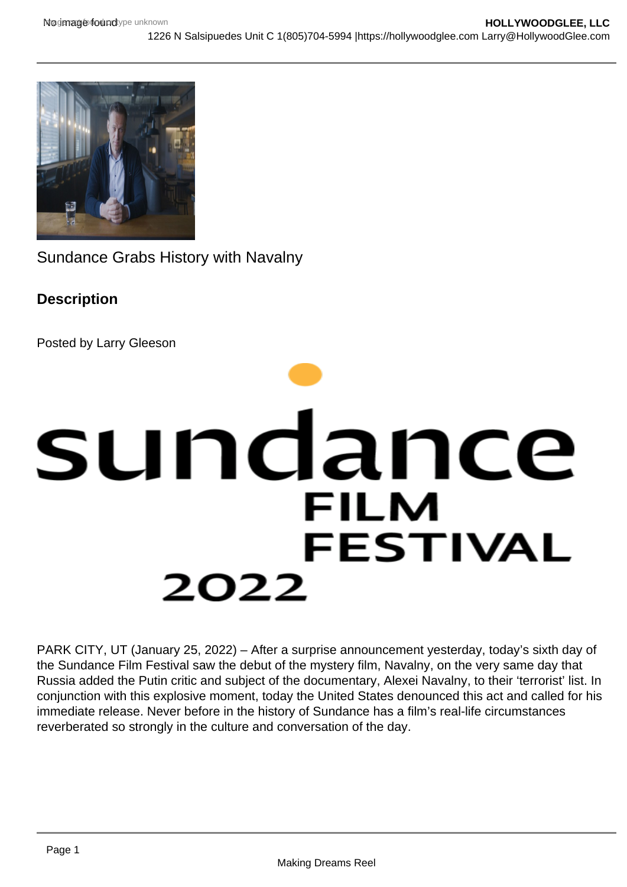Sundance Grabs History with Navalny

**Description** 

Posted by Larry Gleeson

PARK CITY, UT (January 25, 2022) – After a surprise announcement yesterday, today's sixth day of the Sundance Film Festival saw the debut of the mystery film, Navalny, on the very same day that Russia added the Putin critic and subject of the documentary, Alexei Navalny, to their 'terrorist' list. In conjunction with this explosive moment, today the United States denounced this act and called for his immediate release. Never before in the history of Sundance has a film's real-life circumstances reverberated so strongly in the culture and conversation of the day.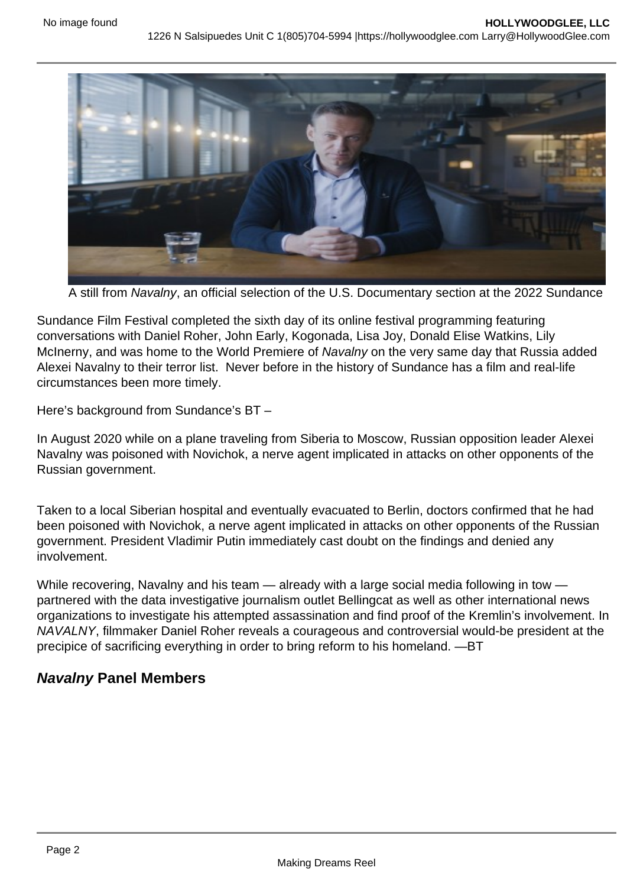A still from Navalny, an official selection of the U.S. Documentary section at the 2022 Sundance

Sundance Film Festival completed the sixth day of its online festival programming featuring conversations with Daniel Roher, John Early, Kogonada, Lisa Joy, Donald Elise Watkins, Lily McInerny, and was home to the World Premiere of Navalny on the very same day that Russia added Alexei Navalny to their terror list. Never before in the history of Sundance has a film and real-life circumstances been more timely.

Here's background from Sundance's BT –

In August 2020 while on a plane traveling from Siberia to Moscow, Russian opposition leader Alexei Navalny was poisoned with Novichok, a nerve agent implicated in attacks on other opponents of the Russian government.

Taken to a local Siberian hospital and eventually evacuated to Berlin, doctors confirmed that he had been poisoned with Novichok, a nerve agent implicated in attacks on other opponents of the Russian government. President Vladimir Putin immediately cast doubt on the findings and denied any involvement.

While recovering, Navalny and his team — already with a large social media following in tow partnered with the data investigative journalism outlet Bellingcat as well as other international news organizations to investigate his attempted assassination and find proof of the Kremlin's involvement. In NAVALNY, filmmaker Daniel Roher reveals a courageous and controversial would-be president at the precipice of sacrificing everything in order to bring reform to his homeland. —BT

Navalny Panel Members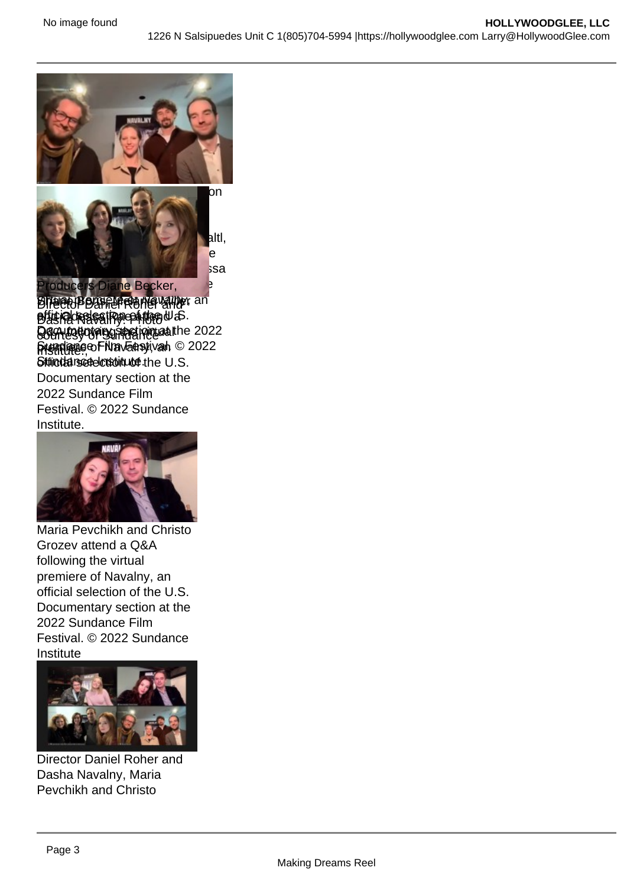(front, from L-R) Editors Langdon [Page, Maya Daisy Hawke an](https://hollywoodglee.com/2022/01/25/sundance-grabs-history-with-novalny/navalny-qa-3/)d Edmund Stenson and (back) [director of photography Niki Wa](https://hollywoodglee.com/2022/01/25/sundance-grabs-history-with-novalny/navalny-qa_51844165755_o/)ltl, producers Diane Becker, Shane Boris, Melanie Miller, and Odessa Raedattensd Diane & Bedkew, ing the Birector Daniel Roher Valley, an **DisiPlores sa Rae atten** W.S. Q&A fosy of Bundance in the 2022 premiere of Navanativah © 2022 Stringdance detection to the U.S. Documentary section at the 2022 Sundance Film Festival. © 2022 Sundance Institute.

Maria Pevchikh and Christo Grozev attend a Q&A following the virtual premiere of Navalny, an official selection of the U.S. Documentary section at the 2022 Sundance Film Festival. © 2022 Sundance Institute

Director Daniel Roher and Dasha Navalny, Maria Pevchikh and Christo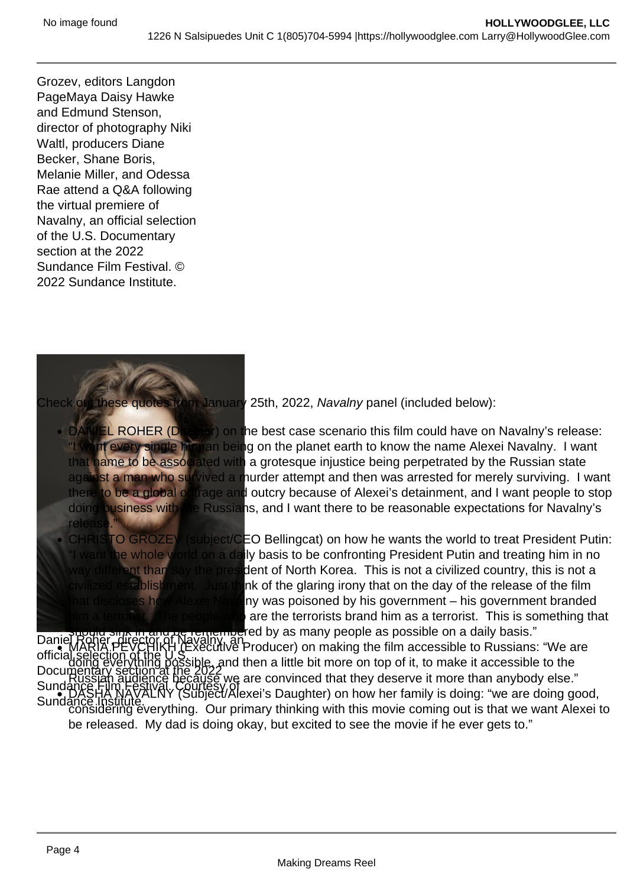Grozev, editors Langdon PageMaya Daisy Hawke and Edmund Stenson, director of photography Niki Waltl, producers Diane Becker, Shane Boris, Melanie Miller, and Odessa Rae attend a Q&A following the virtual premiere of Navalny, an official selection of the U.S. Documentary section at the 2022 Sundance Film Festival. © 2022 Sundance Institute.

[Check out these quotes from January](https://hollywoodglee.com/2022/01/25/sundance-grabs-history-with-novalny/navalny-director-daniel-roher/) 25th, 2022, Navalny panel (included below):

- DANIEL ROHER (Director) on the best case scenario this film could have on Navalny's release: "I want every single human being on the planet earth to know the name Alexei Navalny. I want that name to be associated with a grotesque injustice being perpetrated by the Russian state against a man who survived a murder attempt and then was arrested for merely surviving. I want there to be a global outrage and outcry because of Alexei's detainment, and I want people to stop doing business with the Russians, and I want there to be reasonable expectations for Navalny's release."
- CHRISTO GROZEV (subject/CEO Bellingcat) on how he wants the world to treat President Putin: "I want the whole world on a daily basis to be confronting President Putin and treating him in no way different than say the president of North Korea. This is not a civilized country, this is not a civilized establishment. Just think of the glaring irony that on the day of the release of the film that discloses how Alexei Navalny was poisoned by his government – his government branded him a terrorist. The people who are the terrorists brand him as a terrorist. This is something that

Daniel Roher, director of Navalny, an official selection of the U.S. Documentary section at the 2022 Sundance Film Festival. Courtesy of Sundance Institute. should sink in and be remembered by as many people as possible on a daily basis." MARIA PEVCHIKH (Executive Producer) on making the film accessible to Russians: "We are doing everything possible, and then a little bit more on top of it, to make it accessible to the Russian audience because we are convinced that they deserve it more than anybody else." DASHA NAVALNY (Subject/Alexei's Daughter) on how her family is doing: "we are doing good, considering everything. Our primary thinking with this movie coming out is that we want Alexei to be released. My dad is doing okay, but excited to see the movie if he ever gets to."